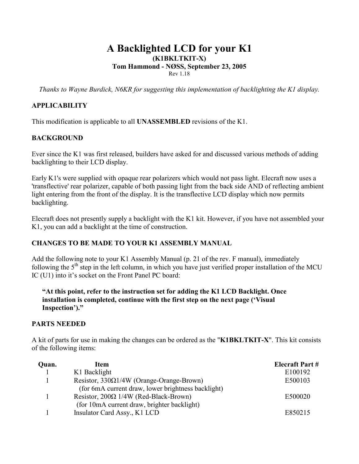# **A Backlighted LCD for your K1 (K1BKLTKIT-X) Tom Hammond - NØSS, September 23, 2005**  Rev 1.18

*Thanks to Wayne Burdick, N6KR for suggesting this implementation of backlighting the K1 display.* 

# **APPLICABILITY**

This modification is applicable to all **UNASSEMBLED** revisions of the K1.

# **BACKGROUND**

Ever since the K1 was first released, builders have asked for and discussed various methods of adding backlighting to their LCD display.

Early K1's were supplied with opaque rear polarizers which would not pass light. Elecraft now uses a 'transflective' rear polarizer, capable of both passing light from the back side AND of reflecting ambient light entering from the front of the display. It is the transflective LCD display which now permits backlighting.

Elecraft does not presently supply a backlight with the K1 kit. However, if you have not assembled your K1, you can add a backlight at the time of construction.

# **CHANGES TO BE MADE TO YOUR K1 ASSEMBLY MANUAL**

Add the following note to your K1 Assembly Manual (p. 21 of the rev. F manual), immediately following the  $5<sup>th</sup>$  step in the left column, in which you have just verified proper installation of the MCU IC (U1) into it's socket on the Front Panel PC board:

### **"At this point, refer to the instruction set for adding the K1 LCD Backlight. Once installation is completed, continue with the first step on the next page ('Visual Inspection')."**

# **PARTS NEEDED**

A kit of parts for use in making the changes can be ordered as the "**K1BKLTKIT-X**". This kit consists of the following items:

| Quan. | Item                                               | <b>Elecraft Part #</b> |
|-------|----------------------------------------------------|------------------------|
|       | K1 Backlight                                       | E100192                |
|       | Resistor, $330\Omega1/4W$ (Orange-Orange-Brown)    | E500103                |
|       | (for 6mA current draw, lower brightness backlight) |                        |
|       | Resistor, $200\Omega$ 1/4W (Red-Black-Brown)       | E500020                |
|       | (for 10mA current draw, brighter backlight)        |                        |
|       | Insulator Card Assy., K1 LCD                       | E850215                |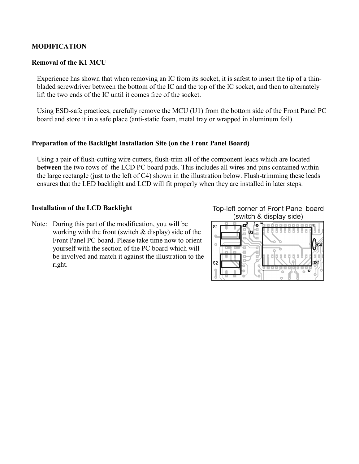### **MODIFICATION**

#### **Removal of the K1 MCU**

Experience has shown that when removing an IC from its socket, it is safest to insert the tip of a thinbladed screwdriver between the bottom of the IC and the top of the IC socket, and then to alternately lift the two ends of the IC until it comes free of the socket.

Using ESD-safe practices, carefully remove the MCU (U1) from the bottom side of the Front Panel PC board and store it in a safe place (anti-static foam, metal tray or wrapped in aluminum foil).

#### **Preparation of the Backlight Installation Site (on the Front Panel Board)**

Using a pair of flush-cutting wire cutters, flush-trim all of the component leads which are located **between** the two rows of the LCD PC board pads. This includes all wires and pins contained within the large rectangle (just to the left of C4) shown in the illustration below. Flush-trimming these leads ensures that the LED backlight and LCD will fit properly when they are installed in later steps.

#### **Installation of the LCD Backlight**

Note: During this part of the modification, you will be working with the front (switch & display) side of the Front Panel PC board. Please take time now to orient yourself with the section of the PC board which will be involved and match it against the illustration to the right.

Top-left corner of Front Panel board (switch & display side)

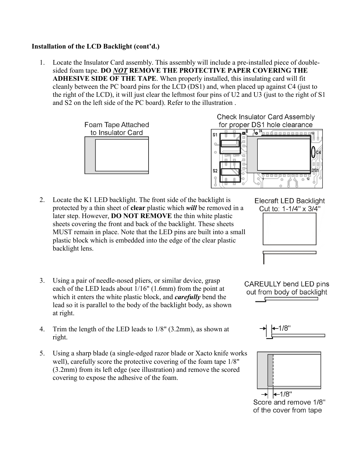### **Installation of the LCD Backlight (cont'd.)**

 1. Locate the Insulator Card assembly. This assembly will include a pre-installed piece of doublesided foam tape. **DO** *NOT* **REMOVE THE PROTECTIVE PAPER COVERING THE ADHESIVE SIDE OF THE TAPE**. When properly installed, this insulating card will fit cleanly between the PC board pins for the LCD (DS1) and, when placed up against C4 (just to the right of the LCD), it will just clear the leftmost four pins of U2 and U3 (just to the right of S1 and S2 on the left side of the PC board). Refer to the illustration .







- 2. Locate the K1 LED backlight. The front side of the backlight is protected by a thin sheet of **clear** plastic which *will* be removed in a later step. However, **DO NOT REMOVE** the thin white plastic sheets covering the front and back of the backlight. These sheets MUST remain in place. Note that the LED pins are built into a small plastic block which is embedded into the edge of the clear plastic backlight lens.
- 3. Using a pair of needle-nosed pliers, or similar device, grasp each of the LED leads about 1/16" (1.6mm) from the point at which it enters the white plastic block, and *carefully* bend the lead so it is parallel to the body of the backlight body, as shown at right.
- 4. Trim the length of the LED leads to 1/8" (3.2mm), as shown at right.
- 5. Using a sharp blade (a single-edged razor blade or Xacto knife works well), carefully score the protective covering of the foam tape 1/8" (3.2mm) from its left edge (see illustration) and remove the scored covering to expose the adhesive of the foam.



**Elecraft LED Backlight** Cut to: 1-1/4" x 3/4"

**CAREULLY bend LED pins** out from body of backlight





Score and remove 1/8" of the cover from tape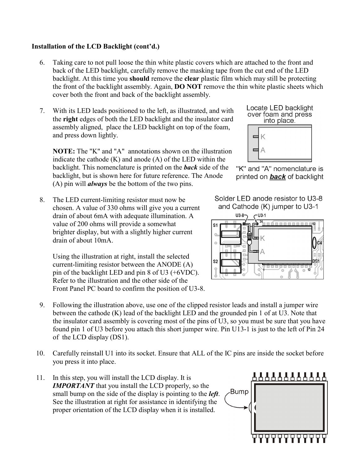# **Installation of the LCD Backlight (cont'd.)**

- 6. Taking care to not pull loose the thin white plastic covers which are attached to the front and back of the LED backlight, carefully remove the masking tape from the cut end of the LED backlight. At this time you **should** remove the **clear** plastic film which may still be protecting the front of the backlight assembly. Again, **DO NOT** remove the thin white plastic sheets which cover both the front and back of the backlight assembly.
- 7. With its LED leads positioned to the left, as illustrated, and with the **right** edges of both the LED backlight and the insulator card assembly aligned, place the LED backlight on top of the foam, and press down lightly.

 **NOTE:** The "K" and "A" annotations shown on the illustration indicate the cathode (K) and anode (A) of the LED within the backlight. This nomenclature is printed on the *back* side of the backlight, but is shown here for future reference. The Anode (A) pin will *always* be the bottom of the two pins.

 8. The LED current-limiting resistor must now be chosen. A value of 330 ohms will give you a current drain of about 6mA with adequate illumination. A value of 200 ohms will provide a somewhat brighter display, but with a slightly higher current drain of about 10mA.

 Using the illustration at right, install the selected current-limiting resistor between the ANODE (A) pin of the backlight LED and pin 8 of U3 (+6VDC). Refer to the illustration and the other side of the Front Panel PC board to confirm the position of U3-8.

- 9. Following the illustration above, use one of the clipped resistor leads and install a jumper wire between the cathode (K) lead of the backlight LED and the grounded pin 1 of at U3. Note that the insulator card assembly is covering most of the pins of U3, so you must be sure that you have found pin 1 of U3 before you attach this short jumper wire. Pin U13-1 is just to the left of Pin 24 of the LCD display (DS1).
- 10. Carefully reinstall U1 into its socket. Ensure that ALL of the IC pins are inside the socket before you press it into place.
- 11. In this step, you will install the LCD display. It is *IMPORTANT* that you install the LCD properly, so the small bump on the side of the display is pointing to the *left*. See the illustration at right for assistance in identifying the proper orientation of the LCD display when it is installed.









Solder LED anode resistor to U3-8 and Cathode (K) jumper to U3-1